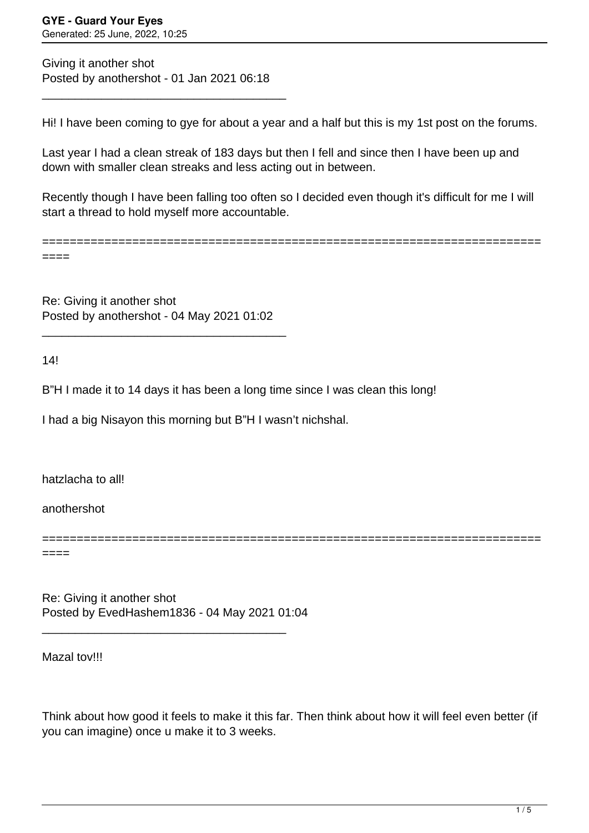Giving it another shot Posted by anothershot - 01 Jan 2021 06:18

\_\_\_\_\_\_\_\_\_\_\_\_\_\_\_\_\_\_\_\_\_\_\_\_\_\_\_\_\_\_\_\_\_\_\_\_\_

Hi! I have been coming to gye for about a year and a half but this is my 1st post on the forums.

Last year I had a clean streak of 183 days but then I fell and since then I have been up and down with smaller clean streaks and less acting out in between.

Recently though I have been falling too often so I decided even though it's difficult for me I will start a thread to hold myself more accountable.

========================================================================

====

Re: Giving it another shot Posted by anothershot - 04 May 2021 01:02

\_\_\_\_\_\_\_\_\_\_\_\_\_\_\_\_\_\_\_\_\_\_\_\_\_\_\_\_\_\_\_\_\_\_\_\_\_

14!

B"H I made it to 14 days it has been a long time since I was clean this long!

I had a big Nisayon this morning but B"H I wasn't nichshal.

hatzlacha to all!

anothershot

====

Re: Giving it another shot Posted by EvedHashem1836 - 04 May 2021 01:04

\_\_\_\_\_\_\_\_\_\_\_\_\_\_\_\_\_\_\_\_\_\_\_\_\_\_\_\_\_\_\_\_\_\_\_\_\_

Mazal tov!!!

Think about how good it feels to make it this far. Then think about how it will feel even better (if you can imagine) once u make it to 3 weeks.

========================================================================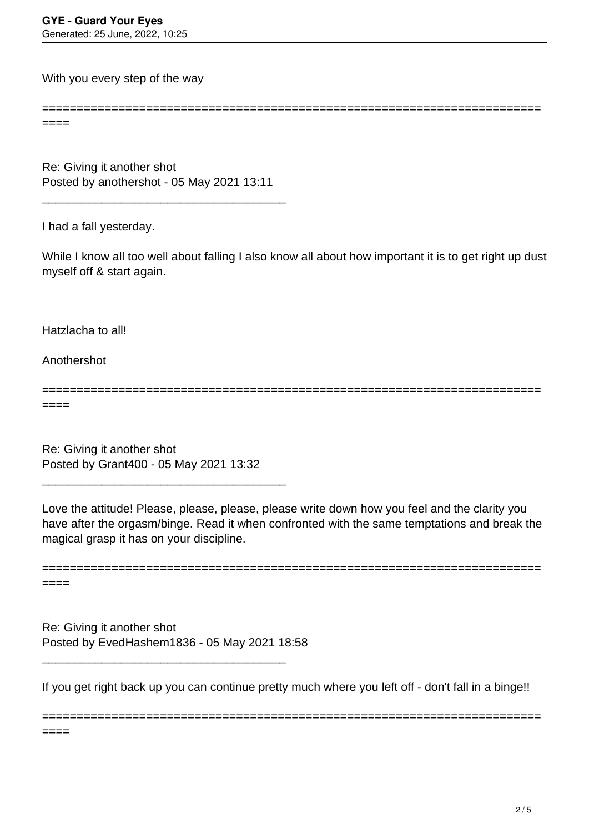With you every step of the way

====

Re: Giving it another shot Posted by anothershot - 05 May 2021 13:11

\_\_\_\_\_\_\_\_\_\_\_\_\_\_\_\_\_\_\_\_\_\_\_\_\_\_\_\_\_\_\_\_\_\_\_\_\_

I had a fall yesterday.

While I know all too well about falling I also know all about how important it is to get right up dust myself off & start again.

========================================================================

Hatzlacha to all!

Anothershot

========================================================================

====

====

Re: Giving it another shot Posted by Grant400 - 05 May 2021 13:32

\_\_\_\_\_\_\_\_\_\_\_\_\_\_\_\_\_\_\_\_\_\_\_\_\_\_\_\_\_\_\_\_\_\_\_\_\_

Love the attitude! Please, please, please, please write down how you feel and the clarity you have after the orgasm/binge. Read it when confronted with the same temptations and break the magical grasp it has on your discipline.



Re: Giving it another shot Posted by EvedHashem1836 - 05 May 2021 18:58

\_\_\_\_\_\_\_\_\_\_\_\_\_\_\_\_\_\_\_\_\_\_\_\_\_\_\_\_\_\_\_\_\_\_\_\_\_

If you get right back up you can continue pretty much where you left off - don't fall in a binge!!

========================================================================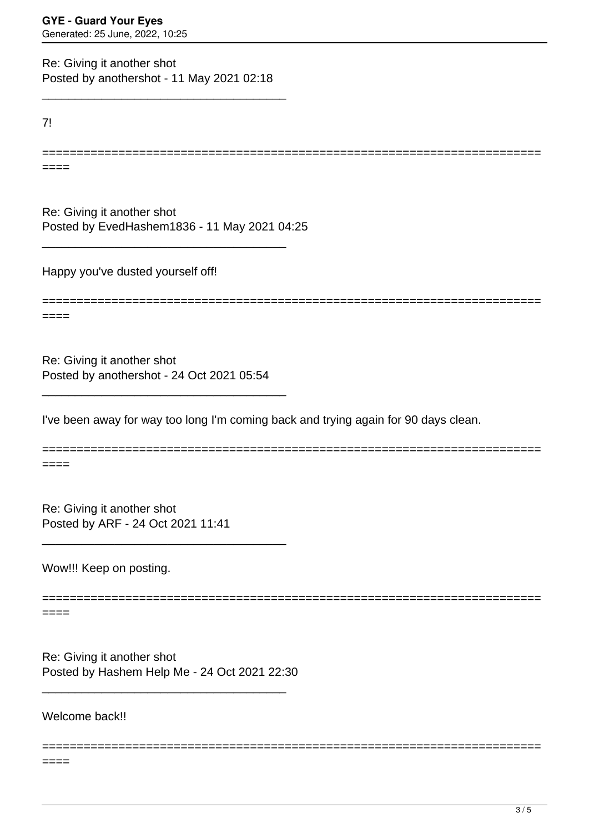Re: Giving it another shot Posted by anothershot - 11 May 2021 02:18

\_\_\_\_\_\_\_\_\_\_\_\_\_\_\_\_\_\_\_\_\_\_\_\_\_\_\_\_\_\_\_\_\_\_\_\_\_

7!

====

Re: Giving it another shot Posted by EvedHashem1836 - 11 May 2021 04:25

\_\_\_\_\_\_\_\_\_\_\_\_\_\_\_\_\_\_\_\_\_\_\_\_\_\_\_\_\_\_\_\_\_\_\_\_\_

Happy you've dusted yourself off!

========================================================================

========================================================================

====

Re: Giving it another shot Posted by anothershot - 24 Oct 2021 05:54

\_\_\_\_\_\_\_\_\_\_\_\_\_\_\_\_\_\_\_\_\_\_\_\_\_\_\_\_\_\_\_\_\_\_\_\_\_

\_\_\_\_\_\_\_\_\_\_\_\_\_\_\_\_\_\_\_\_\_\_\_\_\_\_\_\_\_\_\_\_\_\_\_\_\_

I've been away for way too long I'm coming back and trying again for 90 days clean.

======================================================================== ====

========================================================================

========================================================================

Re: Giving it another shot Posted by ARF - 24 Oct 2021 11:41

Wow!!! Keep on posting.

====

Re: Giving it another shot Posted by Hashem Help Me - 24 Oct 2021 22:30

\_\_\_\_\_\_\_\_\_\_\_\_\_\_\_\_\_\_\_\_\_\_\_\_\_\_\_\_\_\_\_\_\_\_\_\_\_

Welcome back!!

 $====$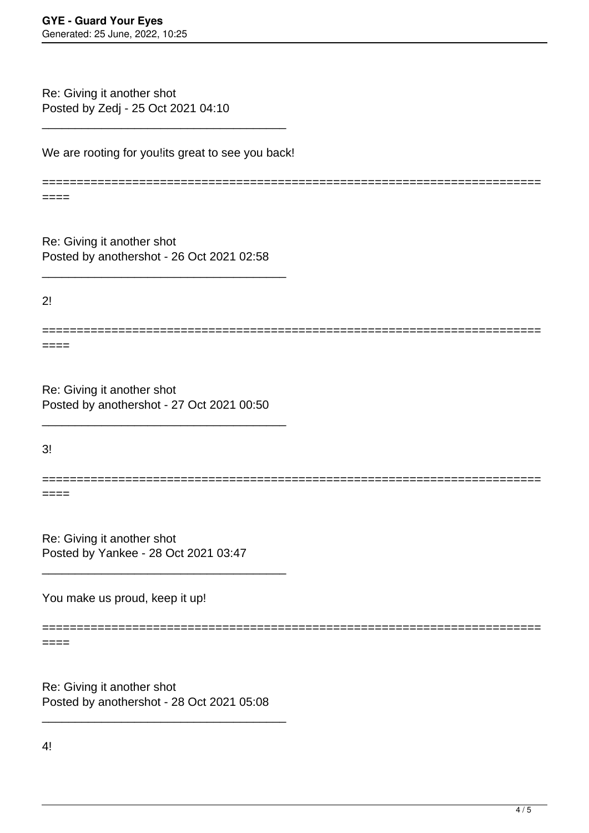Re: Giving it another shot Posted by Zedj - 25 Oct 2021 04:10

We are rooting for you!its great to see you back!

\_\_\_\_\_\_\_\_\_\_\_\_\_\_\_\_\_\_\_\_\_\_\_\_\_\_\_\_\_\_\_\_\_\_\_\_\_

========================================================================

Re: Giving it another shot Posted by anothershot - 26 Oct 2021 02:58

\_\_\_\_\_\_\_\_\_\_\_\_\_\_\_\_\_\_\_\_\_\_\_\_\_\_\_\_\_\_\_\_\_\_\_\_\_

 $2!$ 

====

====

Re: Giving it another shot Posted by anothershot - 27 Oct 2021 00:50

\_\_\_\_\_\_\_\_\_\_\_\_\_\_\_\_\_\_\_\_\_\_\_\_\_\_\_\_\_\_\_\_\_\_\_\_\_

3!

======================================================================== ====

========================================================================

Re: Giving it another shot Posted by Yankee - 28 Oct 2021 03:47

\_\_\_\_\_\_\_\_\_\_\_\_\_\_\_\_\_\_\_\_\_\_\_\_\_\_\_\_\_\_\_\_\_\_\_\_\_

You make us proud, keep it up!

========================================================================

====

Re: Giving it another shot Posted by anothershot - 28 Oct 2021 05:08

\_\_\_\_\_\_\_\_\_\_\_\_\_\_\_\_\_\_\_\_\_\_\_\_\_\_\_\_\_\_\_\_\_\_\_\_\_

4!